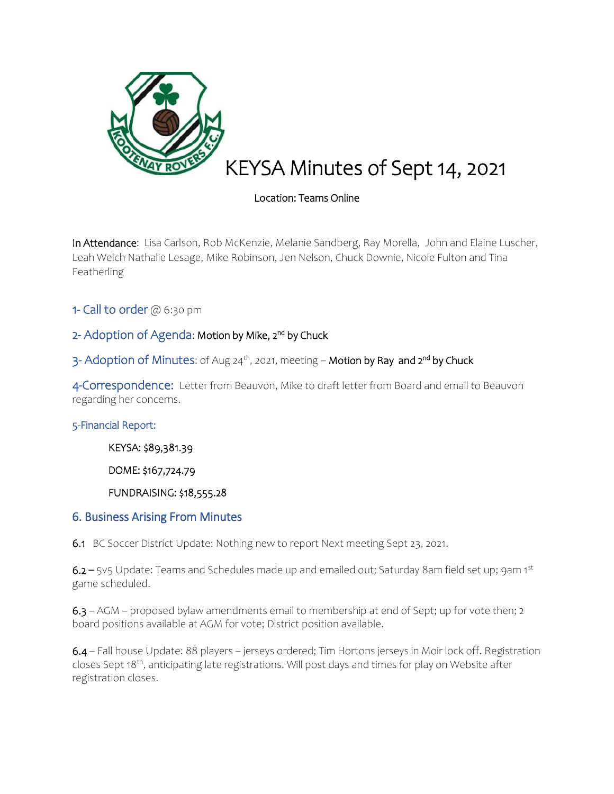

# KEYSA Minutes of Sept 14, 2021

## Location: Teams Online

In Attendance: Lisa Carlson, Rob McKenzie, Melanie Sandberg, Ray Morella, John and Elaine Luscher, Leah Welch Nathalie Lesage, Mike Robinson, Jen Nelson, Chuck Downie, Nicole Fulton and Tina Featherling

1- Call to order  $@6:30$  pm

# 2- Adoption of Agenda: Motion by Mike, 2<sup>nd</sup> by Chuck

3- Adoption of Minutes: of Aug 24<sup>th</sup>, 2021, meeting – **Motion by Ray and 2<sup>nd</sup> by Chuck** 

4-Correspondence: Letter from Beauvon, Mike to draft letter from Board and email to Beauvon regarding her concerns.

### 5-Financial Report:

KEYSA: \$89,381.39

DOME: \$167,724.79

FUNDRAISING: \$18,555.28

### 6. Business Arising From Minutes

6.1BC Soccer District Update: Nothing new to report Next meeting Sept 23, 2021.

6.2 – 5v5 Update: Teams and Schedules made up and emailed out; Saturday 8am field set up; 9am 1st game scheduled.

6.3 – AGM – proposed bylaw amendments email to membership at end of Sept; up for vote then; 2 board positions available at AGM for vote; District position available.

6.4 – Fall house Update: 88 players – jerseys ordered; Tim Hortons jerseys in Moir lock off. Registration closes Sept 18<sup>th</sup>, anticipating late registrations. Will post days and times for play on Website after registration closes.